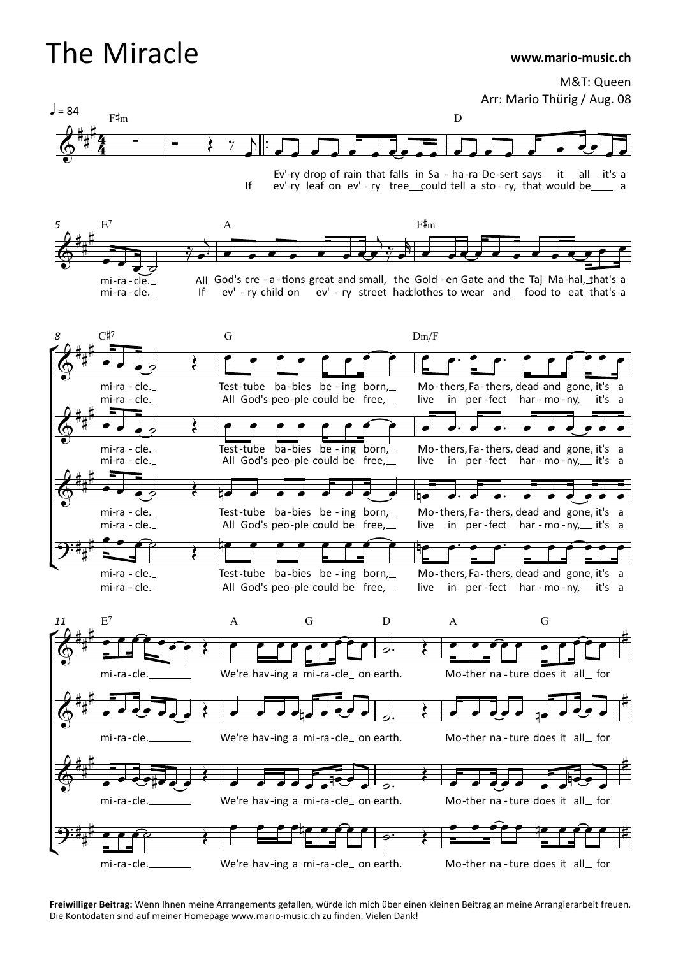## The Miracle

## **www.mario-music.ch**

M&T: Queen Arr: Mario Thürig / Aug. 08



If Ev'-ry drop of rain that falls in Sa - ha-ra De-sert says Ev'-ry drop of rain that falls in Sa - ha-ra De-sert says it all\_it's a<br>ev'-ry leaf on ev' - ry tree\_\_could tell a sto - ry, that would be\_\_\_\_ a it all it's a





**Freiwilliger Beitrag:** Wenn Ihnen meine Arrangements gefallen, würde ich mich über einen kleinen Beitrag an meine Arrangierarbeit freuen. Die Kontodaten sind auf meiner Homepage www.mario-music.ch zu finden. Vielen Dank!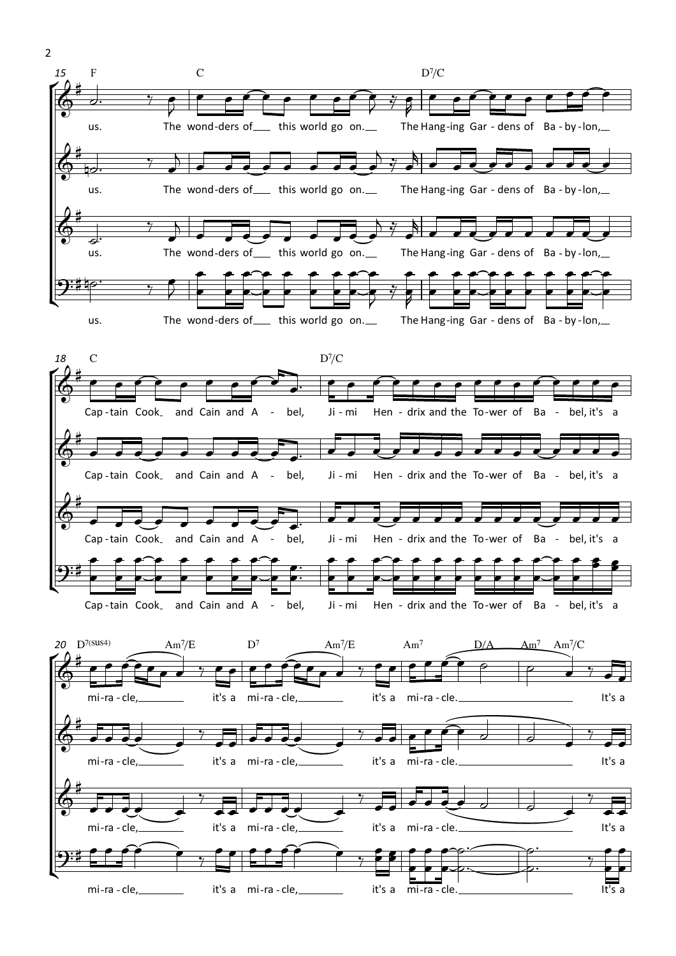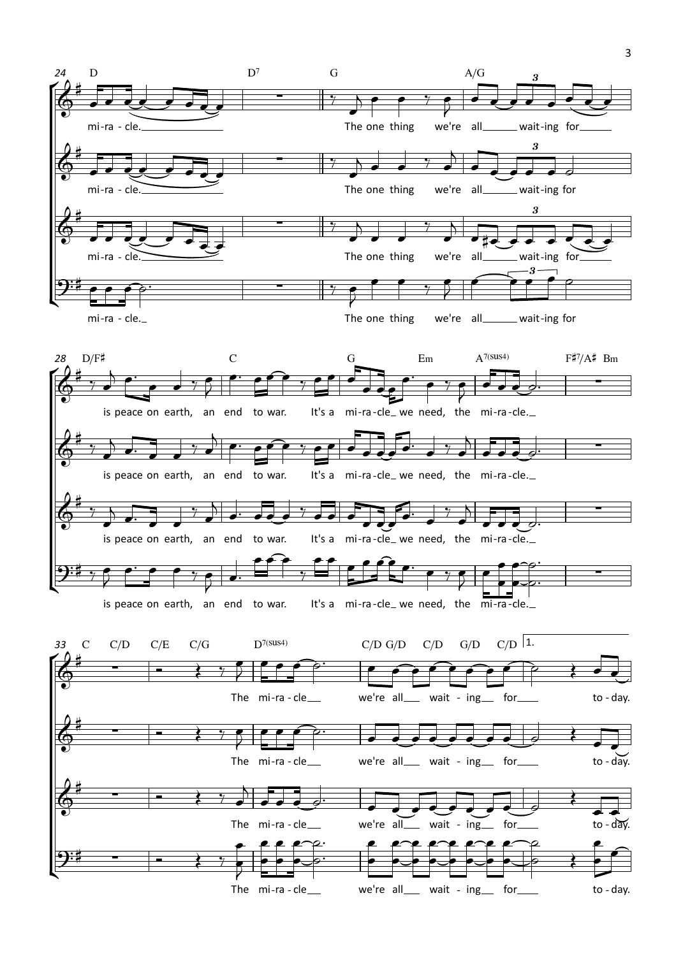